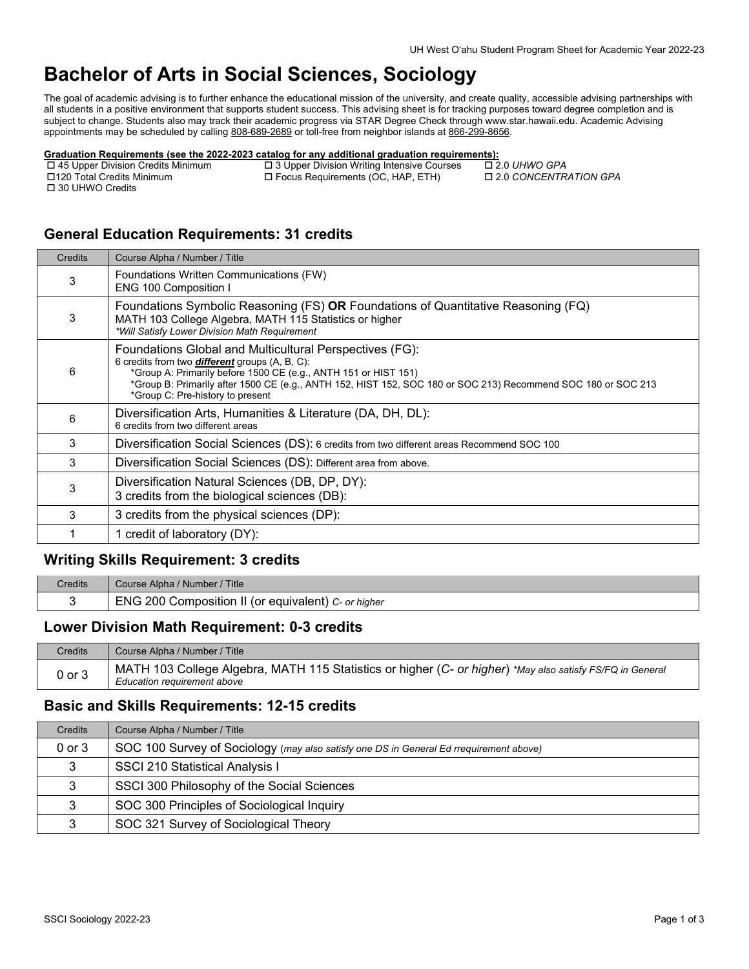# **Bachelor of Arts in Social Sciences, Sociology**

The goal of academic advising is to further enhance the educational mission of the university, and create quality, accessible advising partnerships with all students in a positive environment that supports student success. This advising sheet is for tracking purposes toward degree completion and is subject to change. Students also may track their academic progress via STAR Degree Check through www.star.hawaii.edu. Academic Advising appointments may be scheduled by calling [808-689-2689 o](tel:808-689-2689)r toll-free from neighbor islands at [866-299-8656.](tel:866-299-8656) 

## **Graduation Requirements (see the 2022-2023 catalog for any additional graduation requirements):**<br>
□ 45 Upper Division Credits Minimum □ 3 Upper Division Writing Intensive Courses □ 2.0 UHWO GPA

□ 30 UHWO Credits

 45 Upper Division Credits Minimum 3 Upper Division Writing Intensive Courses 2.0 *UHWO GPA* □ Focus Requirements (OC, HAP, ETH)

## **General Education Requirements: 31 credits**

| Credits | Course Alpha / Number / Title                                                                                                                                                                                                                                                                                                            |
|---------|------------------------------------------------------------------------------------------------------------------------------------------------------------------------------------------------------------------------------------------------------------------------------------------------------------------------------------------|
| 3       | Foundations Written Communications (FW)<br>ENG 100 Composition I                                                                                                                                                                                                                                                                         |
| 3       | Foundations Symbolic Reasoning (FS) OR Foundations of Quantitative Reasoning (FQ)<br>MATH 103 College Algebra, MATH 115 Statistics or higher<br>*Will Satisfy Lower Division Math Requirement                                                                                                                                            |
| 6       | Foundations Global and Multicultural Perspectives (FG):<br>6 credits from two <b>different</b> groups (A, B, C):<br>*Group A: Primarily before 1500 CE (e.g., ANTH 151 or HIST 151)<br>*Group B: Primarily after 1500 CE (e.g., ANTH 152, HIST 152, SOC 180 or SOC 213) Recommend SOC 180 or SOC 213<br>*Group C: Pre-history to present |
| 6       | Diversification Arts, Humanities & Literature (DA, DH, DL):<br>6 credits from two different areas                                                                                                                                                                                                                                        |
| 3       | Diversification Social Sciences (DS): 6 credits from two different areas Recommend SOC 100                                                                                                                                                                                                                                               |
| 3       | Diversification Social Sciences (DS): Different area from above.                                                                                                                                                                                                                                                                         |
| 3       | Diversification Natural Sciences (DB, DP, DY):<br>3 credits from the biological sciences (DB):                                                                                                                                                                                                                                           |
| 3       | 3 credits from the physical sciences (DP):                                                                                                                                                                                                                                                                                               |
|         | 1 credit of laboratory (DY):                                                                                                                                                                                                                                                                                                             |
|         |                                                                                                                                                                                                                                                                                                                                          |

### **Writing Skills Requirement: 3 credits**

| Credits | Course Alpha / Number / Title                       |
|---------|-----------------------------------------------------|
|         | ENG 200 Composition II (or equivalent) C- or higher |

#### **Lower Division Math Requirement: 0-3 credits**

| <b>Credits</b> | Course Alpha / Number / Title                                                                                                            |
|----------------|------------------------------------------------------------------------------------------------------------------------------------------|
| $0$ or $3$     | MATH 103 College Algebra, MATH 115 Statistics or higher (C- or higher) *May also satisfy FS/FQ in General<br>Education requirement above |

#### **Basic and Skills Requirements: 12-15 credits**

| Credits    | Course Alpha / Number / Title                                                          |
|------------|----------------------------------------------------------------------------------------|
| $0$ or $3$ | SOC 100 Survey of Sociology (may also satisfy one DS in General Ed rrequirement above) |
|            | <b>SSCI 210 Statistical Analysis I</b>                                                 |
|            | SSCI 300 Philosophy of the Social Sciences                                             |
|            | SOC 300 Principles of Sociological Inquiry                                             |
|            | SOC 321 Survey of Sociological Theory                                                  |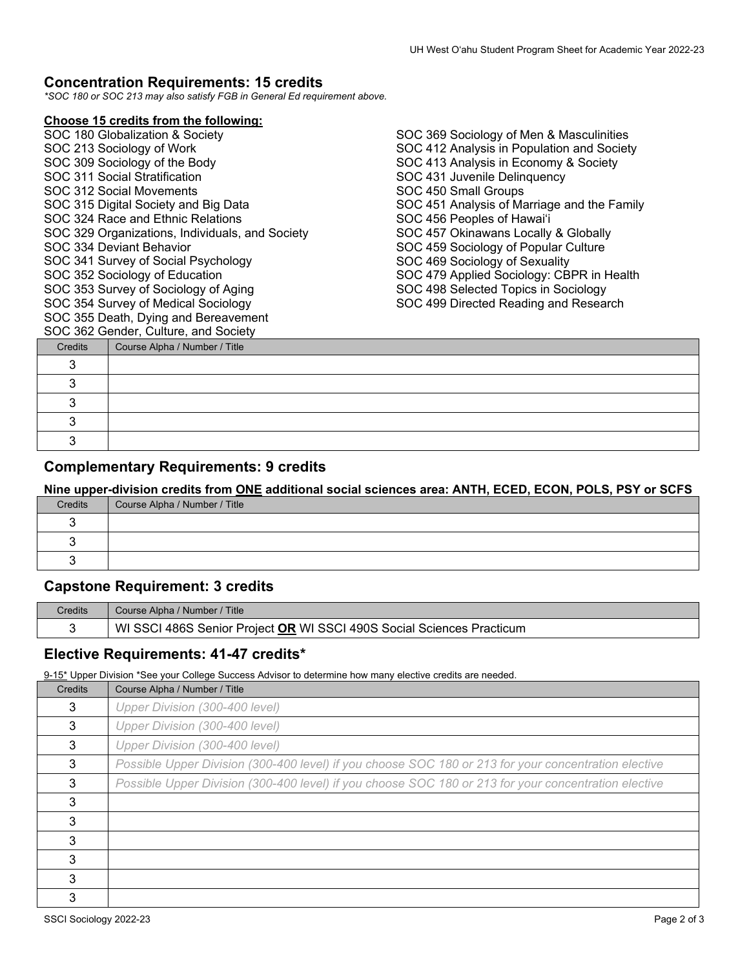#### **Concentration Requirements: 15 credits**

*\*SOC 180 or SOC 213 may also satisfy FGB in General Ed requirement above.*

#### **Choose 15 credits from the following:**

|  | SOC 362 Gender, Culture, and Society            |
|--|-------------------------------------------------|
|  | SOC 355 Death, Dying and Bereavement            |
|  | SOC 354 Survey of Medical Sociology             |
|  | SOC 353 Survey of Sociology of Aging            |
|  | SOC 352 Sociology of Education                  |
|  | SOC 341 Survey of Social Psychology             |
|  | SOC 334 Deviant Behavior                        |
|  | SOC 329 Organizations, Individuals, and Society |
|  | SOC 324 Race and Ethnic Relations               |
|  | SOC 315 Digital Society and Big Data            |
|  | SOC 312 Social Movements                        |
|  | SOC 311 Social Stratification                   |
|  | SOC 309 Sociology of the Body                   |
|  | SOC 213 Sociology of Work                       |
|  | SOC 180 Globalization & Society                 |
|  |                                                 |

 $\blacksquare$ 

SOC 369 Sociology of Men & Masculinities SOC 412 Analysis in Population and Society SOC 413 Analysis in Economy & Society SOC 431 Juvenile Delinquency SOC 450 Small Groups SOC 451 Analysis of Marriage and the Family SOC 456 Peoples of Hawai'i SOC 457 Okinawans Locally & Globally SOC 459 Sociology of Popular Culture SOC 469 Sociology of Sexuality SOC 479 Applied Sociology: CBPR in Health SOC 498 Selected Topics in Sociology SOC 499 Directed Reading and Research

| Credits | Course Alpha / Number / Title |
|---------|-------------------------------|
|         |                               |
|         |                               |
|         |                               |
|         |                               |
|         |                               |

### **Complementary Requirements: 9 credits**

**Nine upper-division credits from ONE additional social sciences area: ANTH, ECED, ECON, POLS, PSY or SCFS**

| Credits | Course Alpha / Number / Title |
|---------|-------------------------------|
|         |                               |
|         |                               |
|         |                               |
|         |                               |

## **Capstone Requirement: 3 credits**

| Credits | Course Alpha / Number / Title                                         |
|---------|-----------------------------------------------------------------------|
|         | WI SSCI 486S Senior Project OR WI SSCI 490S Social Sciences Practicum |

#### **Elective Requirements: 41-47 credits\***

9-15<sup>\*</sup> Upper Division \*See your College Success Advisor to determine how many elective credits are needed.

| Credits | Course Alpha / Number / Title                                                                        |
|---------|------------------------------------------------------------------------------------------------------|
| 3       | Upper Division (300-400 level)                                                                       |
| 3       | Upper Division (300-400 level)                                                                       |
| 3       | Upper Division (300-400 level)                                                                       |
| 3       | Possible Upper Division (300-400 level) if you choose SOC 180 or 213 for your concentration elective |
| 3       | Possible Upper Division (300-400 level) if you choose SOC 180 or 213 for your concentration elective |
| 3       |                                                                                                      |
| 3       |                                                                                                      |
| 3       |                                                                                                      |
| 3       |                                                                                                      |
| 3       |                                                                                                      |
| 3       |                                                                                                      |